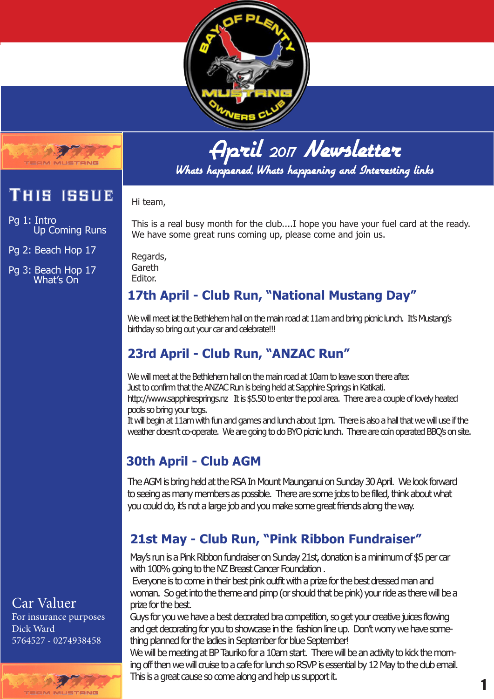



Whats happened, Whats happening and Interesting links

# This issue

Pg 1: Intro Up Coming Runs

**MA MALISTERIE** 

Pg 2: Beach Hop 17

Pg 3: Beach Hop 17 What's On

#### Hi team,

This is a real busy month for the club....I hope you have your fuel card at the ready. We have some great runs coming up, please come and join us.

Regards, Gareth Editor.

#### **17th April - Club Run, "National Mustang Day"**

We will meet iat the Bethlehem hall on the main road at 11am and bring picnic lunch. It's Mustang's birthday so bring out your car and celebrate!!!

# **23rd April - Club Run, "ANZAC Run"**

We will meet at the Bethlehem hall on the main road at 10am to leave soon there after. Just to confirm that the ANZAC Run is being held at Sapphire Springs in Katikati. http://www.sapphiresprings.nz It is \$5.50 to enter the pool area. There are a couple of lovely heated pools so bring your togs.

It will begin at 11am with fun and games and lunch about 1pm. There is also a hall that we will use if the weather doesn't co-operate. We are going to do BYO picnic lunch. There are coin operated BBQ's on site.

## **30th April - Club AGM**

The AGM is bring held at the RSA In Mount Maunganui on Sunday 30 April. We look forward to seeing as many members as possible. There are some jobs to be filled, think about what you could do, it's not a large job and you make some great friends along the way.

# **21st May - Club Run, "Pink Ribbon Fundraiser"**

May's run is a Pink Ribbon fundraiser on Sunday 21st, donation is a minimum of \$5 per car with 100% going to the NZ Breast Cancer Foundation.

 Everyone is to come in their best pink outfit with a prize for the best dressed man and woman. So get into the theme and pimp (or should that be pink) your ride as there will be a prize for the best.

Guys for you we have a best decorated bra competition, so get your creative juices flowing and get decorating for you to showcase in the fashion line up. Don't worry we have something planned for the ladies in September for blue September!

We will be meeting at BP Tauriko for a 10am start. There will be an activity to kick the morning off then we will cruise to a cafe for lunch so RSVP is essential by 12 May to the club email. This is a great cause so come along and help us support it.

## Car Valuer

For insurance purposes Dick Ward 5764527 - 0274938458

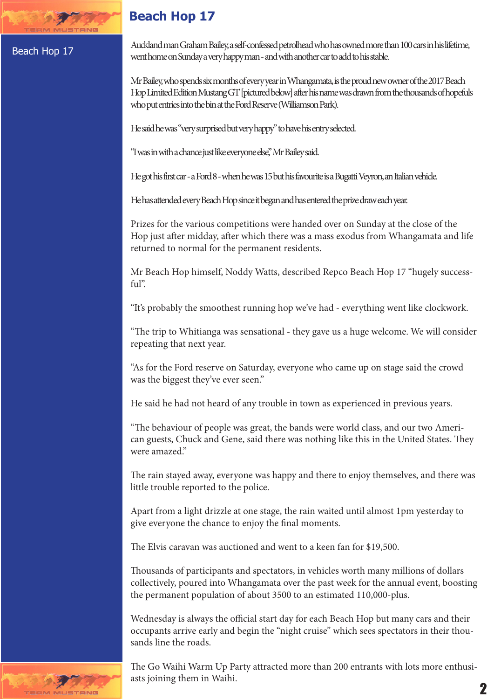#### **Beach Hop 17**

#### Beach Hop 17

STANG

Auckland man Graham Bailey, a self-confessed petrolhead who has owned more than 100 cars in his lifetime, went home on Sunday a very happy man - and with another car to add to his stable.

Mr Bailey, who spends six months of every year in Whangamata, is the proud new owner of the 2017 Beach Hop Limited Edition Mustang GT [pictured below] after his name was drawn from the thousands of hopefuls who put entries into the bin at the Ford Reserve (Williamson Park).

He said he was "very surprised but very happy" to have his entry selected.

"I was in with a chance just like everyone else," Mr Bailey said.

He got his first car - a Ford 8 - when he was 15 but his favourite is a Bugatti Veyron, an Italian vehicle.

He has attended every Beach Hop since it began and has entered the prize draw each year.

Prizes for the various competitions were handed over on Sunday at the close of the Hop just after midday, after which there was a mass exodus from Whangamata and life returned to normal for the permanent residents.

Mr Beach Hop himself, Noddy Watts, described Repco Beach Hop 17 "hugely successful".

"It's probably the smoothest running hop we've had - everything went like clockwork.

"The trip to Whitianga was sensational - they gave us a huge welcome. We will consider repeating that next year.

"As for the Ford reserve on Saturday, everyone who came up on stage said the crowd was the biggest they've ever seen."

He said he had not heard of any trouble in town as experienced in previous years.

"The behaviour of people was great, the bands were world class, and our two American guests, Chuck and Gene, said there was nothing like this in the United States. They were amazed."

The rain stayed away, everyone was happy and there to enjoy themselves, and there was little trouble reported to the police.

Apart from a light drizzle at one stage, the rain waited until almost 1pm yesterday to give everyone the chance to enjoy the final moments.

The Elvis caravan was auctioned and went to a keen fan for \$19,500.

Thousands of participants and spectators, in vehicles worth many millions of dollars collectively, poured into Whangamata over the past week for the annual event, boosting the permanent population of about 3500 to an estimated 110,000-plus.

Wednesday is always the official start day for each Beach Hop but many cars and their occupants arrive early and begin the "night cruise" which sees spectators in their thousands line the roads.

The Go Waihi Warm Up Party attracted more than 200 entrants with lots more enthusiasts joining them in Waihi.